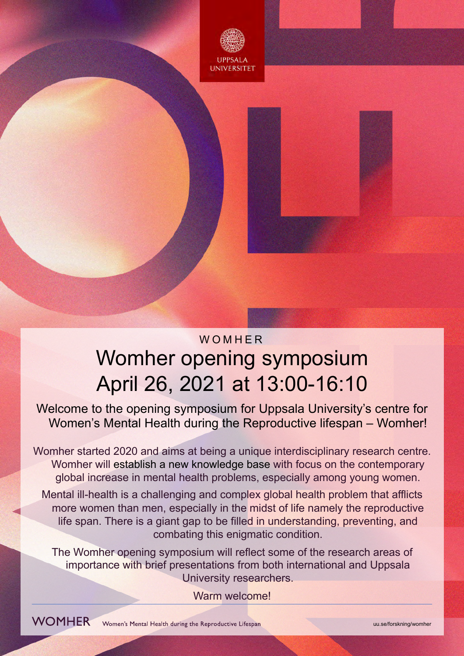

# Womher opening symposium WOMHER April 26, 2021 at 13:00-16:10

 Welcome to the opening symposium for Uppsala University's centre for Women's Mental Health during the Reproductive lifespan – Womher!

 Womher started 2020 and aims at being a unique interdisciplinary research centre. Womher will establish a new knowledge base with focus on the contemporary global increase in mental health problems, especially among young women.

 Mental ill-health is a challenging and complex global health problem that afflicts more women than men, especially in the midst of life namely the reproductive life span. There is a giant gap to be filled in understanding, preventing, and combating this enigmatic condition.

 The Womher opening symposium will reflect some of the research areas of importance with brief presentations from both international and Uppsala University researchers.

Warm welcome!